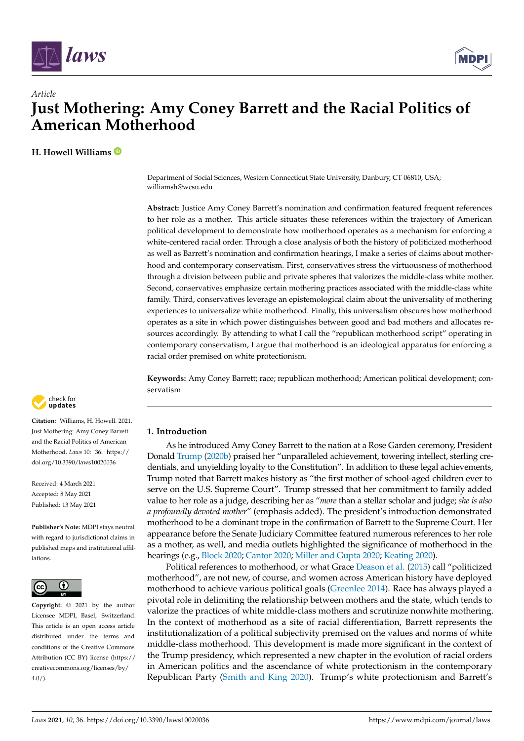



# *Article* **Just Mothering: Amy Coney Barrett and the Racial Politics of American Motherhood**

**H. Howell Williams**

Department of Social Sciences, Western Connecticut State University, Danbury, CT 06810, USA; williamsh@wcsu.edu

**Abstract:** Justice Amy Coney Barrett's nomination and confirmation featured frequent references to her role as a mother. This article situates these references within the trajectory of American political development to demonstrate how motherhood operates as a mechanism for enforcing a white-centered racial order. Through a close analysis of both the history of politicized motherhood as well as Barrett's nomination and confirmation hearings, I make a series of claims about motherhood and contemporary conservatism. First, conservatives stress the virtuousness of motherhood through a division between public and private spheres that valorizes the middle-class white mother. Second, conservatives emphasize certain mothering practices associated with the middle-class white family. Third, conservatives leverage an epistemological claim about the universality of mothering experiences to universalize white motherhood. Finally, this universalism obscures how motherhood operates as a site in which power distinguishes between good and bad mothers and allocates resources accordingly. By attending to what I call the "republican motherhood script" operating in contemporary conservatism, I argue that motherhood is an ideological apparatus for enforcing a racial order premised on white protectionism.

**Keywords:** Amy Coney Barrett; race; republican motherhood; American political development; conservatism



**Citation:** Williams, H. Howell. 2021. Just Mothering: Amy Coney Barrett and the Racial Politics of American Motherhood. *Laws* 10: 36. [https://](https://doi.org/10.3390/laws10020036) [doi.org/10.3390/laws10020036](https://doi.org/10.3390/laws10020036)

Received: 4 March 2021 Accepted: 8 May 2021 Published: 13 May 2021

**Publisher's Note:** MDPI stays neutral with regard to jurisdictional claims in published maps and institutional affiliations.



**Copyright:** © 2021 by the author. Licensee MDPI, Basel, Switzerland. This article is an open access article distributed under the terms and conditions of the Creative Commons Attribution (CC BY) license (https:/[/](https://creativecommons.org/licenses/by/4.0/) [creativecommons.org/licenses/by/](https://creativecommons.org/licenses/by/4.0/)  $4.0/$ ).

## **1. Introduction**

As he introduced Amy Coney Barrett to the nation at a Rose Garden ceremony, President Donald [Trump](#page-13-0) [\(2020b\)](#page-13-0) praised her "unparalleled achievement, towering intellect, sterling credentials, and unyielding loyalty to the Constitution". In addition to these legal achievements, Trump noted that Barrett makes history as "the first mother of school-aged children ever to serve on the U.S. Supreme Court". Trump stressed that her commitment to family added value to her role as a judge, describing her as "*more* than a stellar scholar and judge; *she is also a profoundly devoted mother*" (emphasis added). The president's introduction demonstrated motherhood to be a dominant trope in the confirmation of Barrett to the Supreme Court. Her appearance before the Senate Judiciary Committee featured numerous references to her role as a mother, as well, and media outlets highlighted the significance of motherhood in the hearings (e.g., [Block](#page-11-0) [2020;](#page-11-0) [Cantor](#page-12-0) [2020;](#page-12-0) [Miller and Gupta](#page-13-1) [2020;](#page-13-1) [Keating](#page-12-1) [2020\)](#page-12-1).

Political references to motherhood, or what Grace [Deason et al.](#page-12-2) [\(2015\)](#page-12-2) call "politicized motherhood", are not new, of course, and women across American history have deployed motherhood to achieve various political goals [\(Greenlee](#page-12-3) [2014\)](#page-12-3). Race has always played a pivotal role in delimiting the relationship between mothers and the state, which tends to valorize the practices of white middle-class mothers and scrutinize nonwhite mothering. In the context of motherhood as a site of racial differentiation, Barrett represents the institutionalization of a political subjectivity premised on the values and norms of white middle-class motherhood. This development is made more significant in the context of the Trump presidency, which represented a new chapter in the evolution of racial orders in American politics and the ascendance of white protectionism in the contemporary Republican Party [\(Smith and King](#page-13-2) [2020\)](#page-13-2). Trump's white protectionism and Barrett's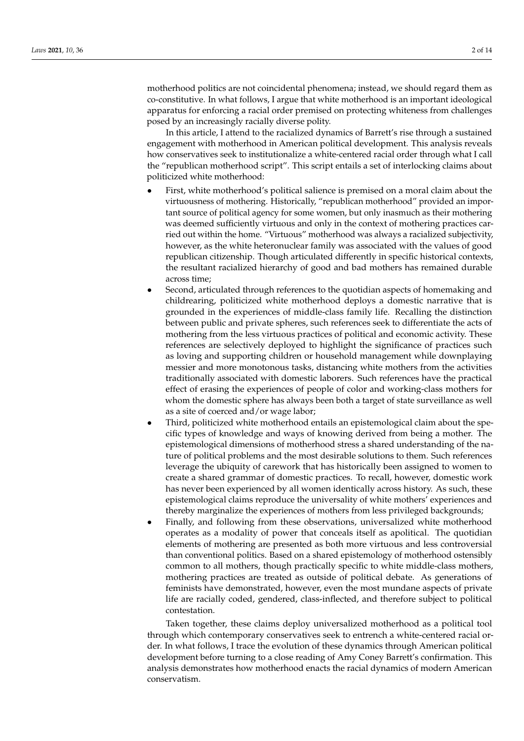motherhood politics are not coincidental phenomena; instead, we should regard them as co-constitutive. In what follows, I argue that white motherhood is an important ideological apparatus for enforcing a racial order premised on protecting whiteness from challenges posed by an increasingly racially diverse polity.

In this article, I attend to the racialized dynamics of Barrett's rise through a sustained engagement with motherhood in American political development. This analysis reveals how conservatives seek to institutionalize a white-centered racial order through what I call the "republican motherhood script". This script entails a set of interlocking claims about politicized white motherhood:

- First, white motherhood's political salience is premised on a moral claim about the virtuousness of mothering. Historically, "republican motherhood" provided an important source of political agency for some women, but only inasmuch as their mothering was deemed sufficiently virtuous and only in the context of mothering practices carried out within the home. "Virtuous" motherhood was always a racialized subjectivity, however, as the white heteronuclear family was associated with the values of good republican citizenship. Though articulated differently in specific historical contexts, the resultant racialized hierarchy of good and bad mothers has remained durable across time;
- Second, articulated through references to the quotidian aspects of homemaking and childrearing, politicized white motherhood deploys a domestic narrative that is grounded in the experiences of middle-class family life. Recalling the distinction between public and private spheres, such references seek to differentiate the acts of mothering from the less virtuous practices of political and economic activity. These references are selectively deployed to highlight the significance of practices such as loving and supporting children or household management while downplaying messier and more monotonous tasks, distancing white mothers from the activities traditionally associated with domestic laborers. Such references have the practical effect of erasing the experiences of people of color and working-class mothers for whom the domestic sphere has always been both a target of state surveillance as well as a site of coerced and/or wage labor;
- Third, politicized white motherhood entails an epistemological claim about the specific types of knowledge and ways of knowing derived from being a mother. The epistemological dimensions of motherhood stress a shared understanding of the nature of political problems and the most desirable solutions to them. Such references leverage the ubiquity of carework that has historically been assigned to women to create a shared grammar of domestic practices. To recall, however, domestic work has never been experienced by all women identically across history. As such, these epistemological claims reproduce the universality of white mothers' experiences and thereby marginalize the experiences of mothers from less privileged backgrounds;
- Finally, and following from these observations, universalized white motherhood operates as a modality of power that conceals itself as apolitical. The quotidian elements of mothering are presented as both more virtuous and less controversial than conventional politics. Based on a shared epistemology of motherhood ostensibly common to all mothers, though practically specific to white middle-class mothers, mothering practices are treated as outside of political debate. As generations of feminists have demonstrated, however, even the most mundane aspects of private life are racially coded, gendered, class-inflected, and therefore subject to political contestation.

Taken together, these claims deploy universalized motherhood as a political tool through which contemporary conservatives seek to entrench a white-centered racial order. In what follows, I trace the evolution of these dynamics through American political development before turning to a close reading of Amy Coney Barrett's confirmation. This analysis demonstrates how motherhood enacts the racial dynamics of modern American conservatism.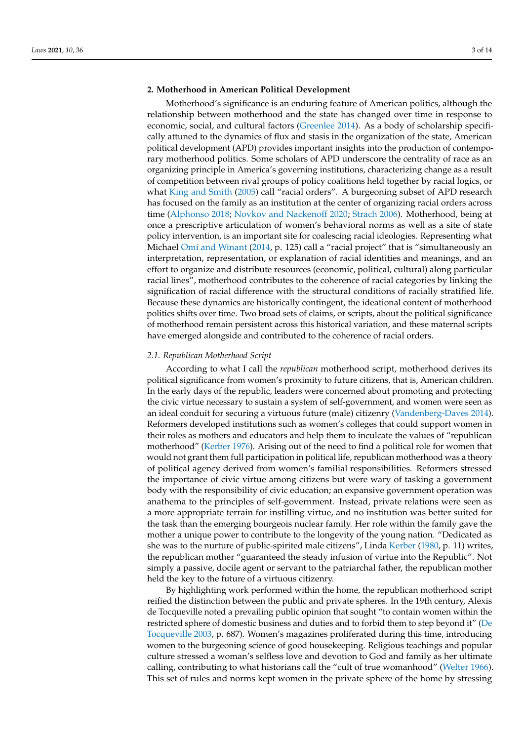## **2. Motherhood in American Political Development**

Motherhood's significance is an enduring feature of American politics, although the relationship between motherhood and the state has changed over time in response to economic, social, and cultural factors [\(Greenlee](#page-12-3) [2014\)](#page-12-3). As a body of scholarship specifically attuned to the dynamics of flux and stasis in the organization of the state, American political development (APD) provides important insights into the production of contemporary motherhood politics. Some scholars of APD underscore the centrality of race as an organizing principle in America's governing institutions, characterizing change as a result of competition between rival groups of policy coalitions held together by racial logics, or what [King and Smith](#page-12-4) [\(2005\)](#page-12-4) call "racial orders". A burgeoning subset of APD research has focused on the family as an institution at the center of organizing racial orders across time [\(Alphonso](#page-11-1) [2018;](#page-11-1) [Novkov and Nackenoff](#page-13-3) [2020;](#page-13-3) [Strach](#page-13-4) [2006\)](#page-13-4). Motherhood, being at once a prescriptive articulation of women's behavioral norms as well as a site of state policy intervention, is an important site for coalescing racial ideologies. Representing what Michael [Omi and Winant](#page-13-5) [\(2014,](#page-13-5) p. 125) call a "racial project" that is "simultaneously an interpretation, representation, or explanation of racial identities and meanings, and an effort to organize and distribute resources (economic, political, cultural) along particular racial lines", motherhood contributes to the coherence of racial categories by linking the signification of racial difference with the structural conditions of racially stratified life. Because these dynamics are historically contingent, the ideational content of motherhood politics shifts over time. Two broad sets of claims, or scripts, about the political significance of motherhood remain persistent across this historical variation, and these maternal scripts have emerged alongside and contributed to the coherence of racial orders.

#### *2.1. Republican Motherhood Script*

According to what I call the *republican* motherhood script, motherhood derives its political significance from women's proximity to future citizens, that is, American children. In the early days of the republic, leaders were concerned about promoting and protecting the civic virtue necessary to sustain a system of self-government, and women were seen as an ideal conduit for securing a virtuous future (male) citizenry [\(Vandenberg-Daves](#page-13-6) [2014\)](#page-13-6). Reformers developed institutions such as women's colleges that could support women in their roles as mothers and educators and help them to inculcate the values of "republican motherhood" [\(Kerber](#page-12-5) [1976\)](#page-12-5). Arising out of the need to find a political role for women that would not grant them full participation in political life, republican motherhood was a theory of political agency derived from women's familial responsibilities. Reformers stressed the importance of civic virtue among citizens but were wary of tasking a government body with the responsibility of civic education; an expansive government operation was anathema to the principles of self-government. Instead, private relations were seen as a more appropriate terrain for instilling virtue, and no institution was better suited for the task than the emerging bourgeois nuclear family. Her role within the family gave the mother a unique power to contribute to the longevity of the young nation. "Dedicated as she was to the nurture of public-spirited male citizens", Linda [Kerber](#page-12-6) [\(1980,](#page-12-6) p. 11) writes, the republican mother "guaranteed the steady infusion of virtue into the Republic". Not simply a passive, docile agent or servant to the patriarchal father, the republican mother held the key to the future of a virtuous citizenry.

By highlighting work performed within the home, the republican motherhood script reified the distinction between the public and private spheres. In the 19th century, Alexis de Tocqueville noted a prevailing public opinion that sought "to contain women within the restricted sphere of domestic business and duties and to forbid them to step beyond it" [\(De](#page-12-7) [Tocqueville](#page-12-7) [2003,](#page-12-7) p. 687). Women's magazines proliferated during this time, introducing women to the burgeoning science of good housekeeping. Religious teachings and popular culture stressed a woman's selfless love and devotion to God and family as her ultimate calling, contributing to what historians call the "cult of true womanhood" [\(Welter](#page-13-7) [1966\)](#page-13-7). This set of rules and norms kept women in the private sphere of the home by stressing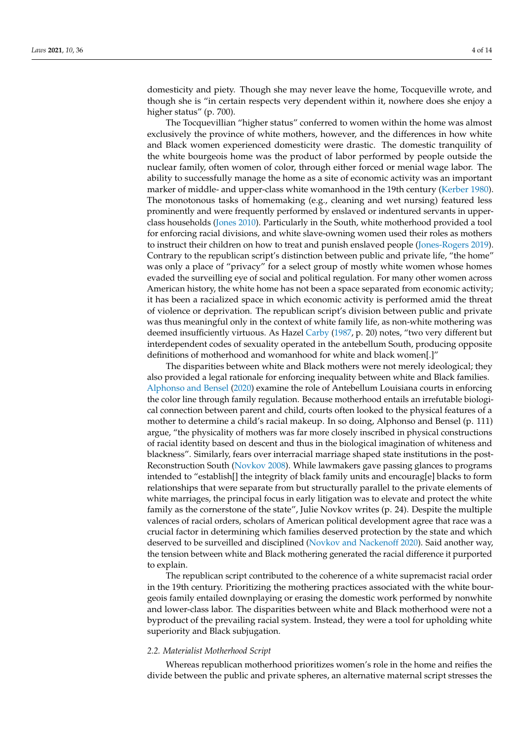domesticity and piety. Though she may never leave the home, Tocqueville wrote, and though she is "in certain respects very dependent within it, nowhere does she enjoy a higher status" (p. 700).

The Tocquevillian "higher status" conferred to women within the home was almost exclusively the province of white mothers, however, and the differences in how white and Black women experienced domesticity were drastic. The domestic tranquility of the white bourgeois home was the product of labor performed by people outside the nuclear family, often women of color, through either forced or menial wage labor. The ability to successfully manage the home as a site of economic activity was an important marker of middle- and upper-class white womanhood in the 19th century [\(Kerber](#page-12-6) [1980\)](#page-12-6). The monotonous tasks of homemaking (e.g., cleaning and wet nursing) featured less prominently and were frequently performed by enslaved or indentured servants in upperclass households [\(Jones](#page-12-8) [2010\)](#page-12-8). Particularly in the South, white motherhood provided a tool for enforcing racial divisions, and white slave-owning women used their roles as mothers to instruct their children on how to treat and punish enslaved people [\(Jones-Rogers](#page-12-9) [2019\)](#page-12-9). Contrary to the republican script's distinction between public and private life, "the home" was only a place of "privacy" for a select group of mostly white women whose homes evaded the surveilling eye of social and political regulation. For many other women across American history, the white home has not been a space separated from economic activity; it has been a racialized space in which economic activity is performed amid the threat of violence or deprivation. The republican script's division between public and private was thus meaningful only in the context of white family life, as non-white mothering was deemed insufficiently virtuous. As Hazel [Carby](#page-12-10) [\(1987,](#page-12-10) p. 20) notes, "two very different but interdependent codes of sexuality operated in the antebellum South, producing opposite definitions of motherhood and womanhood for white and black women[.]"

The disparities between white and Black mothers were not merely ideological; they also provided a legal rationale for enforcing inequality between white and Black families. [Alphonso and Bensel](#page-11-2) [\(2020\)](#page-11-2) examine the role of Antebellum Louisiana courts in enforcing the color line through family regulation. Because motherhood entails an irrefutable biological connection between parent and child, courts often looked to the physical features of a mother to determine a child's racial makeup. In so doing, Alphonso and Bensel (p. 111) argue, "the physicality of mothers was far more closely inscribed in physical constructions of racial identity based on descent and thus in the biological imagination of whiteness and blackness". Similarly, fears over interracial marriage shaped state institutions in the post-Reconstruction South [\(Novkov](#page-13-8) [2008\)](#page-13-8). While lawmakers gave passing glances to programs intended to "establish[] the integrity of black family units and encourag[e] blacks to form relationships that were separate from but structurally parallel to the private elements of white marriages, the principal focus in early litigation was to elevate and protect the white family as the cornerstone of the state", Julie Novkov writes (p. 24). Despite the multiple valences of racial orders, scholars of American political development agree that race was a crucial factor in determining which families deserved protection by the state and which deserved to be surveilled and disciplined [\(Novkov and Nackenoff](#page-13-3) [2020\)](#page-13-3). Said another way, the tension between white and Black mothering generated the racial difference it purported to explain.

The republican script contributed to the coherence of a white supremacist racial order in the 19th century. Prioritizing the mothering practices associated with the white bourgeois family entailed downplaying or erasing the domestic work performed by nonwhite and lower-class labor. The disparities between white and Black motherhood were not a byproduct of the prevailing racial system. Instead, they were a tool for upholding white superiority and Black subjugation.

#### *2.2. Materialist Motherhood Script*

Whereas republican motherhood prioritizes women's role in the home and reifies the divide between the public and private spheres, an alternative maternal script stresses the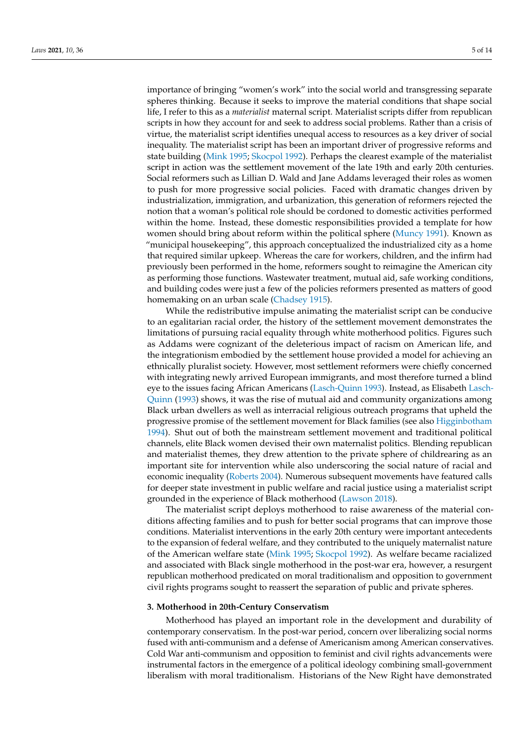importance of bringing "women's work" into the social world and transgressing separate spheres thinking. Because it seeks to improve the material conditions that shape social life, I refer to this as a *materialist* maternal script. Materialist scripts differ from republican scripts in how they account for and seek to address social problems. Rather than a crisis of virtue, the materialist script identifies unequal access to resources as a key driver of social inequality. The materialist script has been an important driver of progressive reforms and state building [\(Mink](#page-13-9) [1995;](#page-13-9) [Skocpol](#page-13-10) [1992\)](#page-13-10). Perhaps the clearest example of the materialist script in action was the settlement movement of the late 19th and early 20th centuries. Social reformers such as Lillian D. Wald and Jane Addams leveraged their roles as women to push for more progressive social policies. Faced with dramatic changes driven by industrialization, immigration, and urbanization, this generation of reformers rejected the notion that a woman's political role should be cordoned to domestic activities performed within the home. Instead, these domestic responsibilities provided a template for how women should bring about reform within the political sphere [\(Muncy](#page-13-11) [1991\)](#page-13-11). Known as "municipal housekeeping", this approach conceptualized the industrialized city as a home that required similar upkeep. Whereas the care for workers, children, and the infirm had previously been performed in the home, reformers sought to reimagine the American city as performing those functions. Wastewater treatment, mutual aid, safe working conditions, and building codes were just a few of the policies reformers presented as matters of good homemaking on an urban scale [\(Chadsey](#page-12-11) [1915\)](#page-12-11).

While the redistributive impulse animating the materialist script can be conducive to an egalitarian racial order, the history of the settlement movement demonstrates the limitations of pursuing racial equality through white motherhood politics. Figures such as Addams were cognizant of the deleterious impact of racism on American life, and the integrationism embodied by the settlement house provided a model for achieving an ethnically pluralist society. However, most settlement reformers were chiefly concerned with integrating newly arrived European immigrants, and most therefore turned a blind eye to the issues facing African Americans [\(Lasch-Quinn](#page-12-12) [1993\)](#page-12-12). Instead, as Elisabeth [Lasch-](#page-12-12)[Quinn](#page-12-12) [\(1993\)](#page-12-12) shows, it was the rise of mutual aid and community organizations among Black urban dwellers as well as interracial religious outreach programs that upheld the progressive promise of the settlement movement for Black families (see also [Higginbotham](#page-12-13) [1994\)](#page-12-13). Shut out of both the mainstream settlement movement and traditional political channels, elite Black women devised their own maternalist politics. Blending republican and materialist themes, they drew attention to the private sphere of childrearing as an important site for intervention while also underscoring the social nature of racial and economic inequality [\(Roberts](#page-13-12) [2004\)](#page-13-12). Numerous subsequent movements have featured calls for deeper state investment in public welfare and racial justice using a materialist script grounded in the experience of Black motherhood [\(Lawson](#page-12-14) [2018\)](#page-12-14).

The materialist script deploys motherhood to raise awareness of the material conditions affecting families and to push for better social programs that can improve those conditions. Materialist interventions in the early 20th century were important antecedents to the expansion of federal welfare, and they contributed to the uniquely maternalist nature of the American welfare state [\(Mink](#page-13-9) [1995;](#page-13-9) [Skocpol](#page-13-10) [1992\)](#page-13-10). As welfare became racialized and associated with Black single motherhood in the post-war era, however, a resurgent republican motherhood predicated on moral traditionalism and opposition to government civil rights programs sought to reassert the separation of public and private spheres.

#### **3. Motherhood in 20th-Century Conservatism**

Motherhood has played an important role in the development and durability of contemporary conservatism. In the post-war period, concern over liberalizing social norms fused with anti-communism and a defense of Americanism among American conservatives. Cold War anti-communism and opposition to feminist and civil rights advancements were instrumental factors in the emergence of a political ideology combining small-government liberalism with moral traditionalism. Historians of the New Right have demonstrated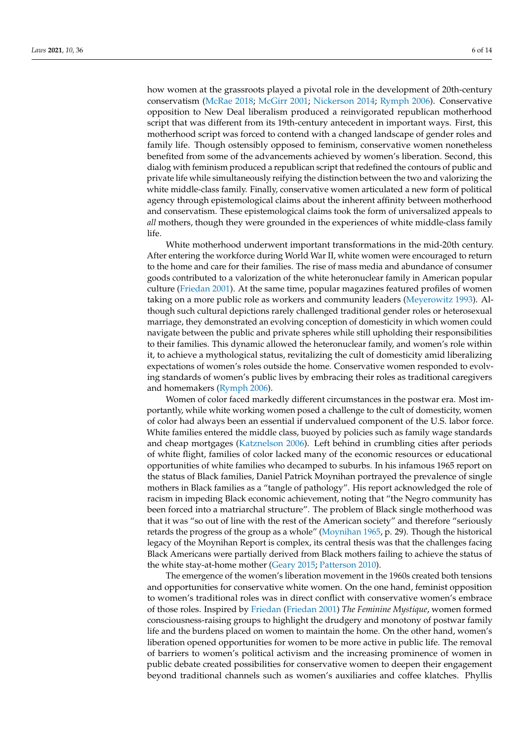how women at the grassroots played a pivotal role in the development of 20th-century conservatism [\(McRae](#page-12-15) [2018;](#page-12-15) [McGirr](#page-12-16) [2001;](#page-12-16) [Nickerson](#page-13-13) [2014;](#page-13-13) [Rymph](#page-13-14) [2006\)](#page-13-14). Conservative opposition to New Deal liberalism produced a reinvigorated republican motherhood script that was different from its 19th-century antecedent in important ways. First, this motherhood script was forced to contend with a changed landscape of gender roles and family life. Though ostensibly opposed to feminism, conservative women nonetheless benefited from some of the advancements achieved by women's liberation. Second, this dialog with feminism produced a republican script that redefined the contours of public and private life while simultaneously reifying the distinction between the two and valorizing the white middle-class family. Finally, conservative women articulated a new form of political agency through epistemological claims about the inherent affinity between motherhood and conservatism. These epistemological claims took the form of universalized appeals to *all* mothers, though they were grounded in the experiences of white middle-class family life.

White motherhood underwent important transformations in the mid-20th century. After entering the workforce during World War II, white women were encouraged to return to the home and care for their families. The rise of mass media and abundance of consumer goods contributed to a valorization of the white heteronuclear family in American popular culture [\(Friedan](#page-12-17) [2001\)](#page-12-17). At the same time, popular magazines featured profiles of women taking on a more public role as workers and community leaders [\(Meyerowitz](#page-12-18) [1993\)](#page-12-18). Although such cultural depictions rarely challenged traditional gender roles or heterosexual marriage, they demonstrated an evolving conception of domesticity in which women could navigate between the public and private spheres while still upholding their responsibilities to their families. This dynamic allowed the heteronuclear family, and women's role within it, to achieve a mythological status, revitalizing the cult of domesticity amid liberalizing expectations of women's roles outside the home. Conservative women responded to evolving standards of women's public lives by embracing their roles as traditional caregivers and homemakers [\(Rymph](#page-13-14) [2006\)](#page-13-14).

Women of color faced markedly different circumstances in the postwar era. Most importantly, while white working women posed a challenge to the cult of domesticity, women of color had always been an essential if undervalued component of the U.S. labor force. White families entered the middle class, buoyed by policies such as family wage standards and cheap mortgages [\(Katznelson](#page-12-19) [2006\)](#page-12-19). Left behind in crumbling cities after periods of white flight, families of color lacked many of the economic resources or educational opportunities of white families who decamped to suburbs. In his infamous 1965 report on the status of Black families, Daniel Patrick Moynihan portrayed the prevalence of single mothers in Black families as a "tangle of pathology". His report acknowledged the role of racism in impeding Black economic achievement, noting that "the Negro community has been forced into a matriarchal structure". The problem of Black single motherhood was that it was "so out of line with the rest of the American society" and therefore "seriously retards the progress of the group as a whole" [\(Moynihan](#page-13-15) [1965,](#page-13-15) p. 29). Though the historical legacy of the Moynihan Report is complex, its central thesis was that the challenges facing Black Americans were partially derived from Black mothers failing to achieve the status of the white stay-at-home mother [\(Geary](#page-12-20) [2015;](#page-12-20) [Patterson](#page-13-16) [2010\)](#page-13-16).

The emergence of the women's liberation movement in the 1960s created both tensions and opportunities for conservative white women. On the one hand, feminist opposition to women's traditional roles was in direct conflict with conservative women's embrace of those roles. Inspired by [Friedan](#page-12-17) [\(Friedan](#page-12-17) [2001\)](#page-12-17) *The Feminine Mystique*, women formed consciousness-raising groups to highlight the drudgery and monotony of postwar family life and the burdens placed on women to maintain the home. On the other hand, women's liberation opened opportunities for women to be more active in public life. The removal of barriers to women's political activism and the increasing prominence of women in public debate created possibilities for conservative women to deepen their engagement beyond traditional channels such as women's auxiliaries and coffee klatches. Phyllis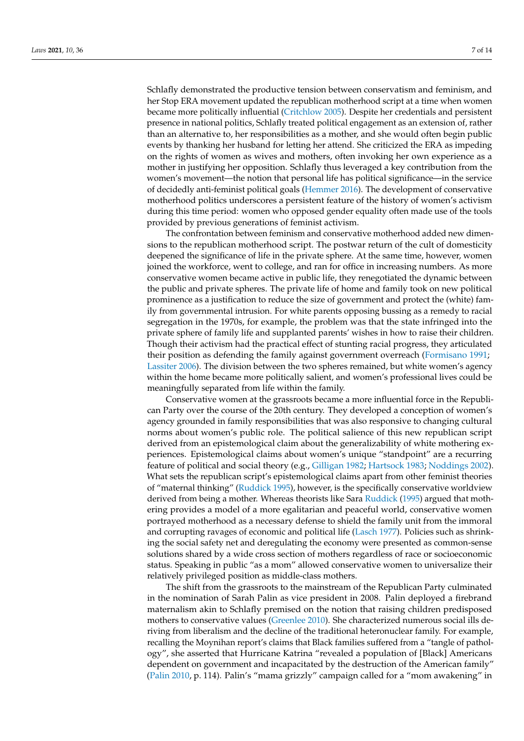Schlafly demonstrated the productive tension between conservatism and feminism, and her Stop ERA movement updated the republican motherhood script at a time when women became more politically influential [\(Critchlow](#page-12-21) [2005\)](#page-12-21). Despite her credentials and persistent presence in national politics, Schlafly treated political engagement as an extension of, rather than an alternative to, her responsibilities as a mother, and she would often begin public events by thanking her husband for letting her attend. She criticized the ERA as impeding on the rights of women as wives and mothers, often invoking her own experience as a mother in justifying her opposition. Schlafly thus leveraged a key contribution from the women's movement—the notion that personal life has political significance—in the service of decidedly anti-feminist political goals [\(Hemmer](#page-12-22) [2016\)](#page-12-22). The development of conservative motherhood politics underscores a persistent feature of the history of women's activism during this time period: women who opposed gender equality often made use of the tools provided by previous generations of feminist activism.

The confrontation between feminism and conservative motherhood added new dimensions to the republican motherhood script. The postwar return of the cult of domesticity deepened the significance of life in the private sphere. At the same time, however, women joined the workforce, went to college, and ran for office in increasing numbers. As more conservative women became active in public life, they renegotiated the dynamic between the public and private spheres. The private life of home and family took on new political prominence as a justification to reduce the size of government and protect the (white) family from governmental intrusion. For white parents opposing bussing as a remedy to racial segregation in the 1970s, for example, the problem was that the state infringed into the private sphere of family life and supplanted parents' wishes in how to raise their children. Though their activism had the practical effect of stunting racial progress, they articulated their position as defending the family against government overreach [\(Formisano](#page-12-23) [1991;](#page-12-23) [Lassiter](#page-12-24) [2006\)](#page-12-24). The division between the two spheres remained, but white women's agency within the home became more politically salient, and women's professional lives could be meaningfully separated from life within the family.

Conservative women at the grassroots became a more influential force in the Republican Party over the course of the 20th century. They developed a conception of women's agency grounded in family responsibilities that was also responsive to changing cultural norms about women's public role. The political salience of this new republican script derived from an epistemological claim about the generalizability of white mothering experiences. Epistemological claims about women's unique "standpoint" are a recurring feature of political and social theory (e.g., [Gilligan](#page-12-25) [1982;](#page-12-25) [Hartsock](#page-12-26) [1983;](#page-12-26) [Noddings](#page-13-17) [2002\)](#page-13-17). What sets the republican script's epistemological claims apart from other feminist theories of "maternal thinking" [\(Ruddick](#page-13-18) [1995\)](#page-13-18), however, is the specifically conservative worldview derived from being a mother. Whereas theorists like Sara [Ruddick](#page-13-18) [\(1995\)](#page-13-18) argued that mothering provides a model of a more egalitarian and peaceful world, conservative women portrayed motherhood as a necessary defense to shield the family unit from the immoral and corrupting ravages of economic and political life [\(Lasch](#page-12-27) [1977\)](#page-12-27). Policies such as shrinking the social safety net and deregulating the economy were presented as common-sense solutions shared by a wide cross section of mothers regardless of race or socioeconomic status. Speaking in public "as a mom" allowed conservative women to universalize their relatively privileged position as middle-class mothers.

The shift from the grassroots to the mainstream of the Republican Party culminated in the nomination of Sarah Palin as vice president in 2008. Palin deployed a firebrand maternalism akin to Schlafly premised on the notion that raising children predisposed mothers to conservative values [\(Greenlee](#page-12-28) [2010\)](#page-12-28). She characterized numerous social ills deriving from liberalism and the decline of the traditional heteronuclear family. For example, recalling the Moynihan report's claims that Black families suffered from a "tangle of pathology", she asserted that Hurricane Katrina "revealed a population of [Black] Americans dependent on government and incapacitated by the destruction of the American family" [\(Palin](#page-13-19) [2010,](#page-13-19) p. 114). Palin's "mama grizzly" campaign called for a "mom awakening" in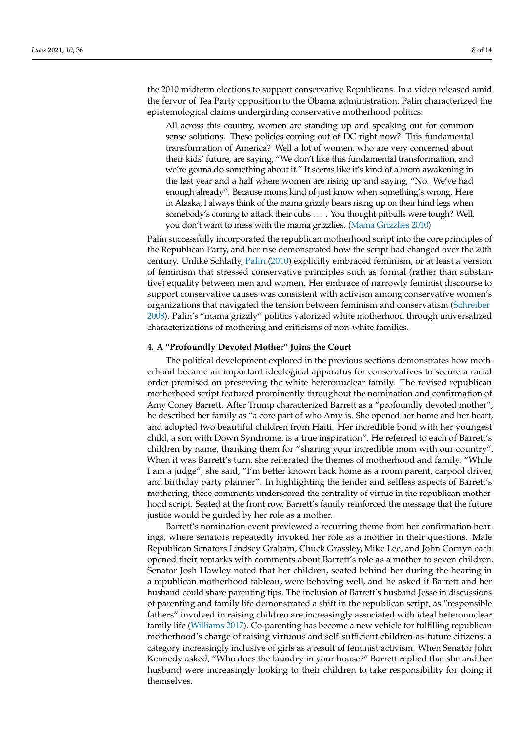the 2010 midterm elections to support conservative Republicans. In a video released amid the fervor of Tea Party opposition to the Obama administration, Palin characterized the epistemological claims undergirding conservative motherhood politics:

All across this country, women are standing up and speaking out for common sense solutions. These policies coming out of DC right now? This fundamental transformation of America? Well a lot of women, who are very concerned about their kids' future, are saying, "We don't like this fundamental transformation, and we're gonna do something about it." It seems like it's kind of a mom awakening in the last year and a half where women are rising up and saying, "No. We've had enough already". Because moms kind of just know when something's wrong. Here in Alaska, I always think of the mama grizzly bears rising up on their hind legs when somebody's coming to attack their cubs . . . . You thought pitbulls were tough? Well, you don't want to mess with the mama grizzlies. [\(Mama Grizzlies](#page-12-29) [2010\)](#page-12-29)

Palin successfully incorporated the republican motherhood script into the core principles of the Republican Party, and her rise demonstrated how the script had changed over the 20th century. Unlike Schlafly, [Palin](#page-13-19) [\(2010\)](#page-13-19) explicitly embraced feminism, or at least a version of feminism that stressed conservative principles such as formal (rather than substantive) equality between men and women. Her embrace of narrowly feminist discourse to support conservative causes was consistent with activism among conservative women's organizations that navigated the tension between feminism and conservatism [\(Schreiber](#page-13-20) [2008\)](#page-13-20). Palin's "mama grizzly" politics valorized white motherhood through universalized characterizations of mothering and criticisms of non-white families.

#### **4. A "Profoundly Devoted Mother" Joins the Court**

The political development explored in the previous sections demonstrates how motherhood became an important ideological apparatus for conservatives to secure a racial order premised on preserving the white heteronuclear family. The revised republican motherhood script featured prominently throughout the nomination and confirmation of Amy Coney Barrett. After Trump characterized Barrett as a "profoundly devoted mother", he described her family as "a core part of who Amy is. She opened her home and her heart, and adopted two beautiful children from Haiti. Her incredible bond with her youngest child, a son with Down Syndrome, is a true inspiration". He referred to each of Barrett's children by name, thanking them for "sharing your incredible mom with our country". When it was Barrett's turn, she reiterated the themes of motherhood and family. "While I am a judge", she said, "I'm better known back home as a room parent, carpool driver, and birthday party planner". In highlighting the tender and selfless aspects of Barrett's mothering, these comments underscored the centrality of virtue in the republican motherhood script. Seated at the front row, Barrett's family reinforced the message that the future justice would be guided by her role as a mother.

Barrett's nomination event previewed a recurring theme from her confirmation hearings, where senators repeatedly invoked her role as a mother in their questions. Male Republican Senators Lindsey Graham, Chuck Grassley, Mike Lee, and John Cornyn each opened their remarks with comments about Barrett's role as a mother to seven children. Senator Josh Hawley noted that her children, seated behind her during the hearing in a republican motherhood tableau, were behaving well, and he asked if Barrett and her husband could share parenting tips. The inclusion of Barrett's husband Jesse in discussions of parenting and family life demonstrated a shift in the republican script, as "responsible fathers" involved in raising children are increasingly associated with ideal heteronuclear family life [\(Williams](#page-13-21) [2017\)](#page-13-21). Co-parenting has become a new vehicle for fulfilling republican motherhood's charge of raising virtuous and self-sufficient children-as-future citizens, a category increasingly inclusive of girls as a result of feminist activism. When Senator John Kennedy asked, "Who does the laundry in your house?" Barrett replied that she and her husband were increasingly looking to their children to take responsibility for doing it themselves.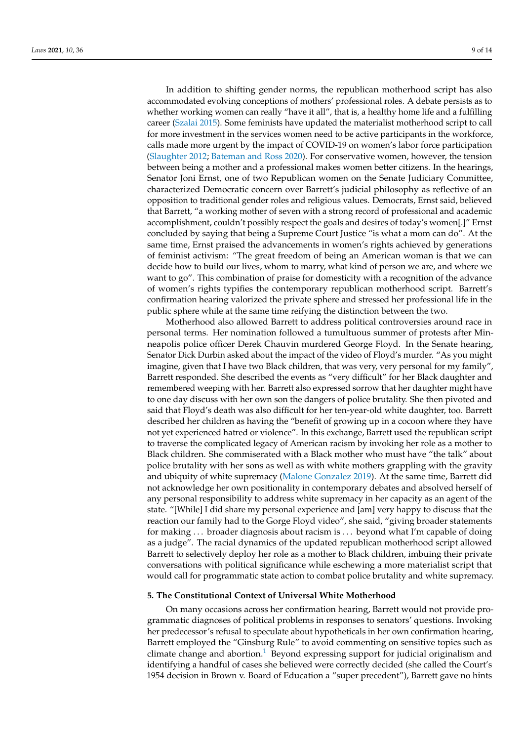In addition to shifting gender norms, the republican motherhood script has also accommodated evolving conceptions of mothers' professional roles. A debate persists as to whether working women can really "have it all", that is, a healthy home life and a fulfilling career [\(Szalai](#page-13-22) [2015\)](#page-13-22). Some feminists have updated the materialist motherhood script to call for more investment in the services women need to be active participants in the workforce, calls made more urgent by the impact of COVID-19 on women's labor force participation [\(Slaughter](#page-13-23) [2012;](#page-13-23) [Bateman and Ross](#page-11-3) [2020\)](#page-11-3). For conservative women, however, the tension between being a mother and a professional makes women better citizens. In the hearings, Senator Joni Ernst, one of two Republican women on the Senate Judiciary Committee, characterized Democratic concern over Barrett's judicial philosophy as reflective of an opposition to traditional gender roles and religious values. Democrats, Ernst said, believed that Barrett, "a working mother of seven with a strong record of professional and academic accomplishment, couldn't possibly respect the goals and desires of today's women[.]" Ernst concluded by saying that being a Supreme Court Justice "is what a mom can do". At the same time, Ernst praised the advancements in women's rights achieved by generations of feminist activism: "The great freedom of being an American woman is that we can decide how to build our lives, whom to marry, what kind of person we are, and where we want to go". This combination of praise for domesticity with a recognition of the advance of women's rights typifies the contemporary republican motherhood script. Barrett's confirmation hearing valorized the private sphere and stressed her professional life in the public sphere while at the same time reifying the distinction between the two.

Motherhood also allowed Barrett to address political controversies around race in personal terms. Her nomination followed a tumultuous summer of protests after Minneapolis police officer Derek Chauvin murdered George Floyd. In the Senate hearing, Senator Dick Durbin asked about the impact of the video of Floyd's murder. "As you might imagine, given that I have two Black children, that was very, very personal for my family", Barrett responded. She described the events as "very difficult" for her Black daughter and remembered weeping with her. Barrett also expressed sorrow that her daughter might have to one day discuss with her own son the dangers of police brutality. She then pivoted and said that Floyd's death was also difficult for her ten-year-old white daughter, too. Barrett described her children as having the "benefit of growing up in a cocoon where they have not yet experienced hatred or violence". In this exchange, Barrett used the republican script to traverse the complicated legacy of American racism by invoking her role as a mother to Black children. She commiserated with a Black mother who must have "the talk" about police brutality with her sons as well as with white mothers grappling with the gravity and ubiquity of white supremacy [\(Malone Gonzalez](#page-12-30) [2019\)](#page-12-30). At the same time, Barrett did not acknowledge her own positionality in contemporary debates and absolved herself of any personal responsibility to address white supremacy in her capacity as an agent of the state. "[While] I did share my personal experience and [am] very happy to discuss that the reaction our family had to the Gorge Floyd video", she said, "giving broader statements for making ... broader diagnosis about racism is ... beyond what I'm capable of doing as a judge". The racial dynamics of the updated republican motherhood script allowed Barrett to selectively deploy her role as a mother to Black children, imbuing their private conversations with political significance while eschewing a more materialist script that would call for programmatic state action to combat police brutality and white supremacy.

#### **5. The Constitutional Context of Universal White Motherhood**

On many occasions across her confirmation hearing, Barrett would not provide programmatic diagnoses of political problems in responses to senators' questions. Invoking her predecessor's refusal to speculate about hypotheticals in her own confirmation hearing, Barrett employed the "Ginsburg Rule" to avoid commenting on sensitive topics such as climate change and abortion.<sup>[1](#page-11-4)</sup> Beyond expressing support for judicial originalism and identifying a handful of cases she believed were correctly decided (she called the Court's 1954 decision in Brown v. Board of Education a "super precedent"), Barrett gave no hints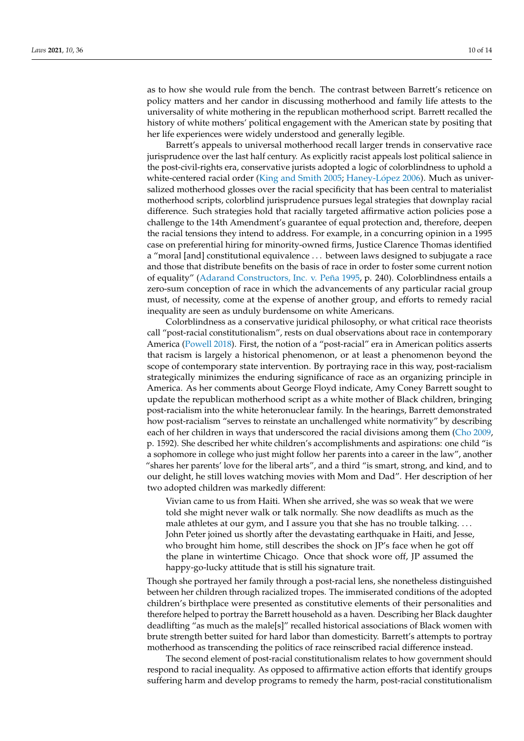as to how she would rule from the bench. The contrast between Barrett's reticence on policy matters and her candor in discussing motherhood and family life attests to the universality of white mothering in the republican motherhood script. Barrett recalled the history of white mothers' political engagement with the American state by positing that her life experiences were widely understood and generally legible.

Barrett's appeals to universal motherhood recall larger trends in conservative race jurisprudence over the last half century. As explicitly racist appeals lost political salience in the post-civil-rights era, conservative jurists adopted a logic of colorblindness to uphold a white-centered racial order [\(King and Smith](#page-12-4) [2005;](#page-12-4) [Haney-L](#page-12-31)ópez [2006\)](#page-12-31). Much as universalized motherhood glosses over the racial specificity that has been central to materialist motherhood scripts, colorblind jurisprudence pursues legal strategies that downplay racial difference. Such strategies hold that racially targeted affirmative action policies pose a challenge to the 14th Amendment's guarantee of equal protection and, therefore, deepen the racial tensions they intend to address. For example, in a concurring opinion in a 1995 case on preferential hiring for minority-owned firms, Justice Clarence Thomas identified a "moral [and] constitutional equivalence . . . between laws designed to subjugate a race and those that distribute benefits on the basis of race in order to foster some current notion of equality" [\(Adarand Constructors, Inc. v. Peña](#page-11-5) [1995,](#page-11-5) p. 240). Colorblindness entails a zero-sum conception of race in which the advancements of any particular racial group must, of necessity, come at the expense of another group, and efforts to remedy racial inequality are seen as unduly burdensome on white Americans.

Colorblindness as a conservative juridical philosophy, or what critical race theorists call "post-racial constitutionalism", rests on dual observations about race in contemporary America [\(Powell](#page-13-24) [2018\)](#page-13-24). First, the notion of a "post-racial" era in American politics asserts that racism is largely a historical phenomenon, or at least a phenomenon beyond the scope of contemporary state intervention. By portraying race in this way, post-racialism strategically minimizes the enduring significance of race as an organizing principle in America. As her comments about George Floyd indicate, Amy Coney Barrett sought to update the republican motherhood script as a white mother of Black children, bringing post-racialism into the white heteronuclear family. In the hearings, Barrett demonstrated how post-racialism "serves to reinstate an unchallenged white normativity" by describing each of her children in ways that underscored the racial divisions among them [\(Cho](#page-12-32) [2009,](#page-12-32) p. 1592). She described her white children's accomplishments and aspirations: one child "is a sophomore in college who just might follow her parents into a career in the law", another "shares her parents' love for the liberal arts", and a third "is smart, strong, and kind, and to our delight, he still loves watching movies with Mom and Dad". Her description of her two adopted children was markedly different:

Vivian came to us from Haiti. When she arrived, she was so weak that we were told she might never walk or talk normally. She now deadlifts as much as the male athletes at our gym, and I assure you that she has no trouble talking.... John Peter joined us shortly after the devastating earthquake in Haiti, and Jesse, who brought him home, still describes the shock on IP's face when he got off the plane in wintertime Chicago. Once that shock wore off, JP assumed the happy-go-lucky attitude that is still his signature trait.

Though she portrayed her family through a post-racial lens, she nonetheless distinguished between her children through racialized tropes. The immiserated conditions of the adopted children's birthplace were presented as constitutive elements of their personalities and therefore helped to portray the Barrett household as a haven. Describing her Black daughter deadlifting "as much as the male[s]" recalled historical associations of Black women with brute strength better suited for hard labor than domesticity. Barrett's attempts to portray motherhood as transcending the politics of race reinscribed racial difference instead.

The second element of post-racial constitutionalism relates to how government should respond to racial inequality. As opposed to affirmative action efforts that identify groups suffering harm and develop programs to remedy the harm, post-racial constitutionalism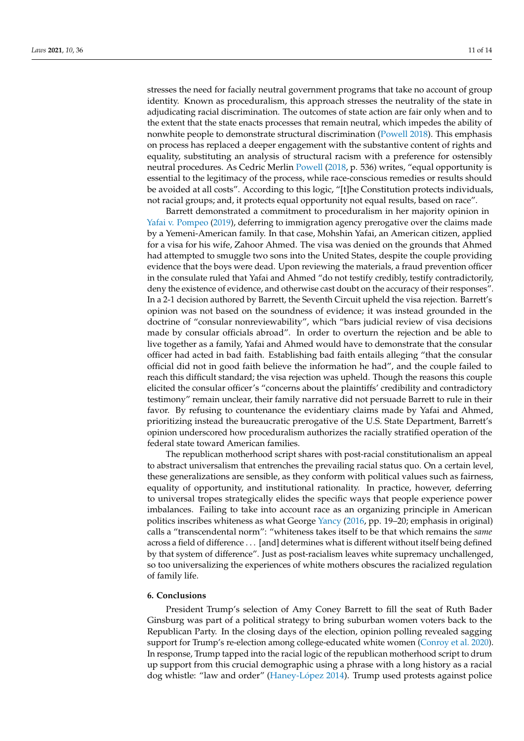stresses the need for facially neutral government programs that take no account of group identity. Known as proceduralism, this approach stresses the neutrality of the state in adjudicating racial discrimination. The outcomes of state action are fair only when and to the extent that the state enacts processes that remain neutral, which impedes the ability of nonwhite people to demonstrate structural discrimination [\(Powell](#page-13-24) [2018\)](#page-13-24). This emphasis on process has replaced a deeper engagement with the substantive content of rights and equality, substituting an analysis of structural racism with a preference for ostensibly neutral procedures. As Cedric Merlin [Powell](#page-13-24) [\(2018,](#page-13-24) p. 536) writes, "equal opportunity is essential to the legitimacy of the process, while race-conscious remedies or results should be avoided at all costs". According to this logic, "[t]he Constitution protects individuals, not racial groups; and, it protects equal opportunity not equal results, based on race".

Barrett demonstrated a commitment to proceduralism in her majority opinion in [Yafai v. Pompeo](#page-11-6) [\(2019\)](#page-11-6), deferring to immigration agency prerogative over the claims made by a Yemeni-American family. In that case, Mohshin Yafai, an American citizen, applied for a visa for his wife, Zahoor Ahmed. The visa was denied on the grounds that Ahmed had attempted to smuggle two sons into the United States, despite the couple providing evidence that the boys were dead. Upon reviewing the materials, a fraud prevention officer in the consulate ruled that Yafai and Ahmed "do not testify credibly, testify contradictorily, deny the existence of evidence, and otherwise cast doubt on the accuracy of their responses". In a 2-1 decision authored by Barrett, the Seventh Circuit upheld the visa rejection. Barrett's opinion was not based on the soundness of evidence; it was instead grounded in the doctrine of "consular nonreviewability", which "bars judicial review of visa decisions made by consular officials abroad". In order to overturn the rejection and be able to live together as a family, Yafai and Ahmed would have to demonstrate that the consular officer had acted in bad faith. Establishing bad faith entails alleging "that the consular official did not in good faith believe the information he had", and the couple failed to reach this difficult standard; the visa rejection was upheld. Though the reasons this couple elicited the consular officer's "concerns about the plaintiffs' credibility and contradictory testimony" remain unclear, their family narrative did not persuade Barrett to rule in their favor. By refusing to countenance the evidentiary claims made by Yafai and Ahmed, prioritizing instead the bureaucratic prerogative of the U.S. State Department, Barrett's opinion underscored how proceduralism authorizes the racially stratified operation of the federal state toward American families.

The republican motherhood script shares with post-racial constitutionalism an appeal to abstract universalism that entrenches the prevailing racial status quo. On a certain level, these generalizations are sensible, as they conform with political values such as fairness, equality of opportunity, and institutional rationality. In practice, however, deferring to universal tropes strategically elides the specific ways that people experience power imbalances. Failing to take into account race as an organizing principle in American politics inscribes whiteness as what George [Yancy](#page-13-25) [\(2016,](#page-13-25) pp. 19–20; emphasis in original) calls a "transcendental norm": "whiteness takes itself to be that which remains the *same* across a field of difference . . . [and] determines what is different without itself being defined by that system of difference". Just as post-racialism leaves white supremacy unchallenged, so too universalizing the experiences of white mothers obscures the racialized regulation of family life.

### **6. Conclusions**

President Trump's selection of Amy Coney Barrett to fill the seat of Ruth Bader Ginsburg was part of a political strategy to bring suburban women voters back to the Republican Party. In the closing days of the election, opinion polling revealed sagging support for Trump's re-election among college-educated white women [\(Conroy et al.](#page-12-33) [2020\)](#page-12-33). In response, Trump tapped into the racial logic of the republican motherhood script to drum up support from this crucial demographic using a phrase with a long history as a racial dog whistle: "law and order" [\(Haney-L](#page-12-34)ópez [2014\)](#page-12-34). Trump used protests against police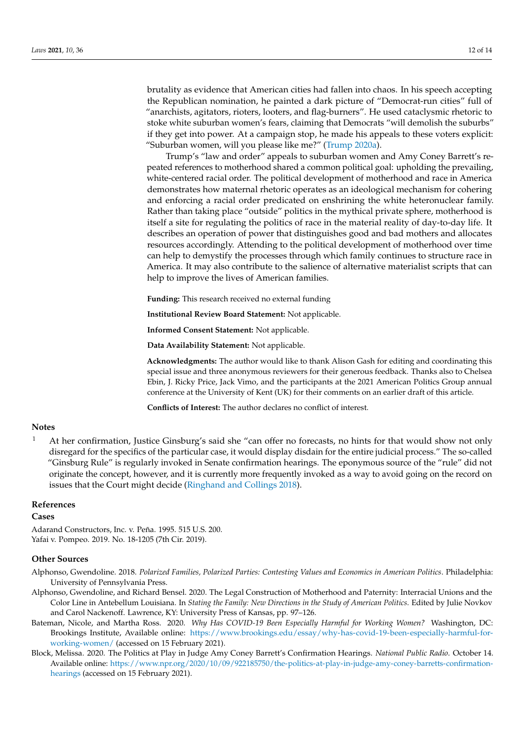brutality as evidence that American cities had fallen into chaos. In his speech accepting the Republican nomination, he painted a dark picture of "Democrat-run cities" full of "anarchists, agitators, rioters, looters, and flag-burners". He used cataclysmic rhetoric to stoke white suburban women's fears, claiming that Democrats "will demolish the suburbs" if they get into power. At a campaign stop, he made his appeals to these voters explicit: "Suburban women, will you please like me?" [\(Trump](#page-13-26) [2020a\)](#page-13-26).

Trump's "law and order" appeals to suburban women and Amy Coney Barrett's repeated references to motherhood shared a common political goal: upholding the prevailing, white-centered racial order. The political development of motherhood and race in America demonstrates how maternal rhetoric operates as an ideological mechanism for cohering and enforcing a racial order predicated on enshrining the white heteronuclear family. Rather than taking place "outside" politics in the mythical private sphere, motherhood is itself a site for regulating the politics of race in the material reality of day-to-day life. It describes an operation of power that distinguishes good and bad mothers and allocates resources accordingly. Attending to the political development of motherhood over time can help to demystify the processes through which family continues to structure race in America. It may also contribute to the salience of alternative materialist scripts that can help to improve the lives of American families.

**Funding:** This research received no external funding

**Institutional Review Board Statement:** Not applicable.

**Informed Consent Statement:** Not applicable.

**Data Availability Statement:** Not applicable.

**Acknowledgments:** The author would like to thank Alison Gash for editing and coordinating this special issue and three anonymous reviewers for their generous feedback. Thanks also to Chelsea Ebin, J. Ricky Price, Jack Vimo, and the participants at the 2021 American Politics Group annual conference at the University of Kent (UK) for their comments on an earlier draft of this article.

**Conflicts of Interest:** The author declares no conflict of interest.

#### **Notes**

<span id="page-11-4"></span><sup>1</sup> At her confirmation, Justice Ginsburg's said she "can offer no forecasts, no hints for that would show not only disregard for the specifics of the particular case, it would display disdain for the entire judicial process." The so-called "Ginsburg Rule" is regularly invoked in Senate confirmation hearings. The eponymous source of the "rule" did not originate the concept, however, and it is currently more frequently invoked as a way to avoid going on the record on issues that the Court might decide [\(Ringhand and Collings](#page-13-27) [2018\)](#page-13-27).

## **References**

#### **Cases**

<span id="page-11-6"></span><span id="page-11-5"></span>Adarand Constructors, Inc. v. Peña. 1995. 515 U.S. 200. Yafai v. Pompeo. 2019. No. 18-1205 (7th Cir. 2019).

#### **Other Sources**

- <span id="page-11-1"></span>Alphonso, Gwendoline. 2018. *Polarized Families, Polarized Parties: Contesting Values and Economics in American Politics*. Philadelphia: University of Pennsylvania Press.
- <span id="page-11-2"></span>Alphonso, Gwendoline, and Richard Bensel. 2020. The Legal Construction of Motherhood and Paternity: Interracial Unions and the Color Line in Antebellum Louisiana. In *Stating the Family: New Directions in the Study of American Politics*. Edited by Julie Novkov and Carol Nackenoff. Lawrence, KY: University Press of Kansas, pp. 97–126.
- <span id="page-11-3"></span>Bateman, Nicole, and Martha Ross. 2020. *Why Has COVID-19 Been Especially Harmful for Working Women?* Washington, DC: Brookings Institute, Available online: [https://www.brookings.edu/essay/why-has-covid-19-been-especially-harmful-for](https://www.brookings.edu/essay/why-has-covid-19-been-especially-harmful-for-working-women/)[working-women/](https://www.brookings.edu/essay/why-has-covid-19-been-especially-harmful-for-working-women/) (accessed on 15 February 2021).
- <span id="page-11-0"></span>Block, Melissa. 2020. The Politics at Play in Judge Amy Coney Barrett's Confirmation Hearings. *National Public Radio*. October 14. Available online: [https://www.npr.org/2020/10/09/922185750/the-politics-at-play-in-judge-amy-coney-barretts-confirmation](https://www.npr.org/2020/10/09/922185750/the-politics-at-play-in-judge-amy-coney-barretts-confirmation-hearings)[hearings](https://www.npr.org/2020/10/09/922185750/the-politics-at-play-in-judge-amy-coney-barretts-confirmation-hearings) (accessed on 15 February 2021).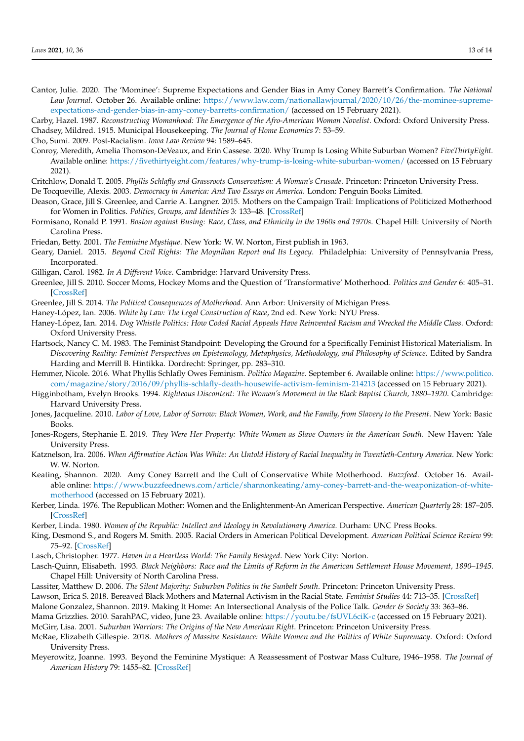- <span id="page-12-0"></span>Cantor, Julie. 2020. The 'Mominee': Supreme Expectations and Gender Bias in Amy Coney Barrett's Confirmation. *The National Law Journal*. October 26. Available online: [https://www.law.com/nationallawjournal/2020/10/26/the-mominee-supreme](https://www.law.com/nationallawjournal/2020/10/26/the-mominee-supreme-expectations-and-gender-bias-in-amy-coney-barretts-confirmation/)[expectations-and-gender-bias-in-amy-coney-barretts-confirmation/](https://www.law.com/nationallawjournal/2020/10/26/the-mominee-supreme-expectations-and-gender-bias-in-amy-coney-barretts-confirmation/) (accessed on 15 February 2021).
- <span id="page-12-11"></span><span id="page-12-10"></span>Carby, Hazel. 1987. *Reconstructing Womanhood: The Emergence of the Afro-American Woman Novelist*. Oxford: Oxford University Press. Chadsey, Mildred. 1915. Municipal Housekeeping. *The Journal of Home Economics* 7: 53–59.

<span id="page-12-32"></span>Cho, Sumi. 2009. Post-Racialism. *Iowa Law Review* 94: 1589–645.

<span id="page-12-33"></span>Conroy, Meredith, Amelia Thomson-DeVeaux, and Erin Cassese. 2020. Why Trump Is Losing White Suburban Women? *FiveThirtyEight.* Available online: <https://fivethirtyeight.com/features/why-trump-is-losing-white-suburban-women/> (accessed on 15 February 2021).

<span id="page-12-21"></span>Critchlow, Donald T. 2005. *Phyllis Schlafly and Grassroots Conservatism: A Woman's Crusade*. Princeton: Princeton University Press.

- <span id="page-12-7"></span>De Tocqueville, Alexis. 2003. *Democracy in America: And Two Essays on America*. London: Penguin Books Limited.
- <span id="page-12-2"></span>Deason, Grace, Jill S. Greenlee, and Carrie A. Langner. 2015. Mothers on the Campaign Trail: Implications of Politicized Motherhood for Women in Politics. *Politics, Groups, and Identities* 3: 133–48. [\[CrossRef\]](http://doi.org/10.1080/21565503.2014.992792)
- <span id="page-12-23"></span>Formisano, Ronald P. 1991. *Boston against Busing: Race, Class, and Ethnicity in the 1960s and 1970s*. Chapel Hill: University of North Carolina Press.
- <span id="page-12-17"></span>Friedan, Betty. 2001. *The Feminine Mystique*. New York: W. W. Norton, First publish in 1963.
- <span id="page-12-20"></span>Geary, Daniel. 2015. *Beyond Civil Rights: The Moynihan Report and Its Legacy*. Philadelphia: University of Pennsylvania Press, Incorporated.
- <span id="page-12-25"></span>Gilligan, Carol. 1982. *In A Different Voice*. Cambridge: Harvard University Press.
- <span id="page-12-28"></span>Greenlee, Jill S. 2010. Soccer Moms, Hockey Moms and the Question of 'Transformative' Motherhood. *Politics and Gender* 6: 405–31. [\[CrossRef\]](http://doi.org/10.1017/S1743923X10000292)
- <span id="page-12-3"></span>Greenlee, Jill S. 2014. *The Political Consequences of Motherhood*. Ann Arbor: University of Michigan Press.
- <span id="page-12-31"></span>Haney-López, Ian. 2006. *White by Law: The Legal Construction of Race*, 2nd ed. New York: NYU Press.
- <span id="page-12-34"></span>Haney-López, Ian. 2014. *Dog Whistle Politics: How Coded Racial Appeals Have Reinvented Racism and Wrecked the Middle Class*. Oxford: Oxford University Press.
- <span id="page-12-26"></span>Hartsock, Nancy C. M. 1983. The Feminist Standpoint: Developing the Ground for a Specifically Feminist Historical Materialism. In *Discovering Reality: Feminist Perspectives on Epistemology, Metaphysics, Methodology, and Philosophy of Science*. Edited by Sandra Harding and Merrill B. Hintikka. Dordrecht: Springer, pp. 283–310.
- <span id="page-12-22"></span>Hemmer, Nicole. 2016. What Phyllis Schlafly Owes Feminism. *Politico Magazine*. September 6. Available online: [https://www.politico.](https://www.politico.com/magazine/story/2016/09/phyllis-schlafly-death-housewife-activism-feminism-214213) [com/magazine/story/2016/09/phyllis-schlafly-death-housewife-activism-feminism-214213](https://www.politico.com/magazine/story/2016/09/phyllis-schlafly-death-housewife-activism-feminism-214213) (accessed on 15 February 2021).
- <span id="page-12-13"></span>Higginbotham, Evelyn Brooks. 1994. *Righteous Discontent: The Women's Movement in the Black Baptist Church, 1880–1920*. Cambridge: Harvard University Press.
- <span id="page-12-8"></span>Jones, Jacqueline. 2010. *Labor of Love, Labor of Sorrow: Black Women, Work, and the Family, from Slavery to the Present*. New York: Basic Books.
- <span id="page-12-9"></span>Jones-Rogers, Stephanie E. 2019. *They Were Her Property: White Women as Slave Owners in the American South*. New Haven: Yale University Press.
- <span id="page-12-19"></span>Katznelson, Ira. 2006. *When Affirmative Action Was White: An Untold History of Racial Inequality in Twentieth-Century America*. New York: W. W. Norton.
- <span id="page-12-1"></span>Keating, Shannon. 2020. Amy Coney Barrett and the Cult of Conservative White Motherhood. *Buzzfeed*. October 16. Available online: [https://www.buzzfeednews.com/article/shannonkeating/amy-coney-barrett-and-the-weaponization-of-white](https://www.buzzfeednews.com/article/shannonkeating/amy-coney-barrett-and-the-weaponization-of-white-motherhood)[motherhood](https://www.buzzfeednews.com/article/shannonkeating/amy-coney-barrett-and-the-weaponization-of-white-motherhood) (accessed on 15 February 2021).
- <span id="page-12-5"></span>Kerber, Linda. 1976. The Republican Mother: Women and the Enlightenment-An American Perspective. *American Quarterly* 28: 187–205. [\[CrossRef\]](http://doi.org/10.2307/2712349)
- <span id="page-12-6"></span>Kerber, Linda. 1980. *Women of the Republic: Intellect and Ideology in Revolutionary America*. Durham: UNC Press Books.
- <span id="page-12-4"></span>King, Desmond S., and Rogers M. Smith. 2005. Racial Orders in American Political Development. *American Political Science Review* 99: 75–92. [\[CrossRef\]](http://doi.org/10.1017/S0003055405051506)
- <span id="page-12-27"></span>Lasch, Christopher. 1977. *Haven in a Heartless World: The Family Besieged*. New York City: Norton.
- <span id="page-12-12"></span>Lasch-Quinn, Elisabeth. 1993. *Black Neighbors: Race and the Limits of Reform in the American Settlement House Movement, 1890–1945*. Chapel Hill: University of North Carolina Press.
- <span id="page-12-24"></span><span id="page-12-14"></span>Lassiter, Matthew D. 2006. *The Silent Majority: Suburban Politics in the Sunbelt South*. Princeton: Princeton University Press.
- <span id="page-12-30"></span>Lawson, Erica S. 2018. Bereaved Black Mothers and Maternal Activism in the Racial State. *Feminist Studies* 44: 713–35. [\[CrossRef\]](http://doi.org/10.15767/feministstudies.44.3.0713) Malone Gonzalez, Shannon. 2019. Making It Home: An Intersectional Analysis of the Police Talk. *Gender & Society* 33: 363–86.
- <span id="page-12-29"></span><span id="page-12-16"></span>Mama Grizzlies. 2010. SarahPAC, video, June 23. Available online: <https://youtu.be/fsUVL6ciK-c> (accessed on 15 February 2021). McGirr, Lisa. 2001. *Suburban Warriors: The Origins of the New American Right*. Princeton: Princeton University Press.
- <span id="page-12-15"></span>McRae, Elizabeth Gillespie. 2018. *Mothers of Massive Resistance: White Women and the Politics of White Supremacy*. Oxford: Oxford University Press.
- <span id="page-12-18"></span>Meyerowitz, Joanne. 1993. Beyond the Feminine Mystique: A Reassessment of Postwar Mass Culture, 1946–1958. *The Journal of American History* 79: 1455–82. [\[CrossRef\]](http://doi.org/10.2307/2080212)